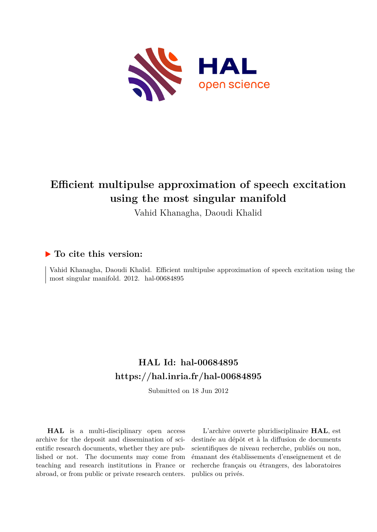

# **Efficient multipulse approximation of speech excitation using the most singular manifold**

Vahid Khanagha, Daoudi Khalid

## **To cite this version:**

Vahid Khanagha, Daoudi Khalid. Efficient multipulse approximation of speech excitation using the most singular manifold. 2012. hal-00684895

## **HAL Id: hal-00684895 <https://hal.inria.fr/hal-00684895>**

Submitted on 18 Jun 2012

**HAL** is a multi-disciplinary open access archive for the deposit and dissemination of scientific research documents, whether they are published or not. The documents may come from teaching and research institutions in France or abroad, or from public or private research centers.

L'archive ouverte pluridisciplinaire **HAL**, est destinée au dépôt et à la diffusion de documents scientifiques de niveau recherche, publiés ou non, émanant des établissements d'enseignement et de recherche français ou étrangers, des laboratoires publics ou privés.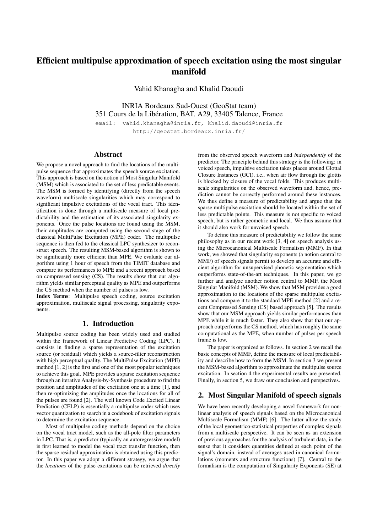### Efficient multipulse approximation of speech excitation using the most singular manifold

Vahid Khanagha and Khalid Daoudi

INRIA Bordeaux Sud-Ouest (GeoStat team) 351 Cours de la Liberation, BAT. A29, 33405 Talence, France ´ email: vahid.khanagha@inria.fr, khalid.daoudi@inria.fr

http://geostat.bordeaux.inria.fr/

#### Abstract

We propose a novel approach to find the locations of the multipulse sequence that approximates the speech source excitation. This approach is based on the notion of Most Singular Manifold (MSM) which is associated to the set of less predictable events. The MSM is formed by identifying (directly from the speech waveform) multiscale singularities which may correspond to significant impulsive excitations of the vocal tract. This identification is done through a multiscale measure of local predictability and the estimation of its associated singularity exponents. Once the pulse locations are found using the MSM, their amplitudes are computed using the second stage of the classical MultiPulse Excitation (MPE) coder. The multipulse sequence is then fed to the classical LPC synthesizer to reconstruct speech. The resulting MSM-based algorithm is shown to be significantly more efficient than MPE. We evaluate our algorithm using 1 hour of speech from the TIMIT database and compare its performances to MPE and a recent approach based on compressed sensing (CS). The results show that our algorithm yields similar perceptual quality as MPE and outperforms the CS method when the number of pulses is low.

Index Terms: Multipulse speech coding, source excitation approximation, multiscale signal processing, singularity exponents.

#### 1. Introduction

Multipulse source coding has been widely used and studied within the framework of Linear Predictive Coding (LPC). It consists in finding a sparse representation of the excitation source (or residual) which yields a source-filter reconstruction with high perceptual quality. The MultiPulse Excitation (MPE) method [1, 2] is the first and one of the most popular techniques to achieve this goal. MPE provides a sparse excitation sequence through an iterative Analysis-by-Synthesis procedure to find the position and amplitudes of the excitation one at a time [1], and then re-optimizing the amplitudes once the locations for all of the pulses are found [2]. The well known Code Excited Linear Prediction (CELP) is essentially a multipulse coder which uses vector quantization to search in a codebook of excitation signals to determine the excitation sequence.

Most of multipulse coding methods depend on the choice on the vocal tract model, such as the all-pole filter parameters in LPC. That is, a predictor (typically an autoregressive model) is first learned to model the vocal tract transfer function, then the sparse residual approximation is obtained using this predictor. In this paper we adopt a different strategy, we argue that the *locations* of the pulse excitations can be retrieved *directly* from the observed speech waveform and *independently* of the predictor. The principle behind this strategy is the following: in voiced speech, impulsive excitation takes places around Glottal Closure Instances (GCI), i.e., when air flow through the glottis is blocked by closure of the vocal folds. This produces multiscale singularities on the observed waveform and, hence, prediction cannot be correctly performed around these instances. We thus define a measure of predictability and argue that the sparse multipulse excitation should be located within the set of less predictable points. This measure is not specific to voiced speech, but is rather geometric and local. We thus assume that it should also work for unvoiced speech.

To define this measure of predictability we follow the same philosophy as in our recent work [3, 4] on speech analysis using the Microcanonical Multiscale Formalism (MMF). In that work, we showed that singularity exponents (a notion central to MMF) of speech signals permit to develop an accurate and efficient algorithm for unsupervised phonetic segmentation which outperforms state-of-the-art techniques. In this paper, we go further and analyze another notion central to MMF, the Most Singular Manifold (MSM). We show that MSM provides a good approximation to the locations of the sparse multipulse excitations and compare it to the standard MPE method [2] and a recent Compressed Sensing (CS) based approach [5]. The results show that our MSM approach yields similar performances than MPE while it is much faster. They also show that that our approach outperforms the CS method, which has roughly the same computational as the MPE, when number of pulses per speech frame is low.

The paper is organized as follows. In section 2 we recall the basic concepts of MMF, define the measure of local predictability and describe how to form the MSM. In section 3 we present the MSM-based algorithm to approximate the multipulse source excitation. In section 4 the experimental results are presented. Finally, in section 5, we draw our conclusion and perspectives.

#### 2. Most Singular Manifold of speech signals

We have been recently developing a novel framework for nonlinear analysis of speech signals based on the Microcanonical Multiscale Formalism (MMF) [6]. The latter allow the study of the local geometrico-statistical properties of complex signals from a multiscale perspective. It can be seen as an extension of previous approaches for the analysis of turbulent data, in the sense that it considers quantities defined at each point of the signal's domain, instead of averages used in canonical formulations (moments and structure functions) [7]. Central to the formalism is the computation of Singularity Exponents (SE) at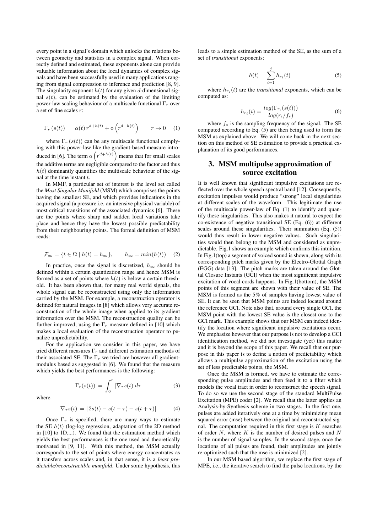every point in a signal's domain which unlocks the relations between geometry and statistics in a complex signal. When correctly defined and estimated, these exponents alone can provide valuable information about the local dynamics of complex signals and have been successfully used in many applications ranging from signal compression to inference and prediction [8, 9]. The singularity exponent  $h(t)$  for any given d-dimensional signal  $s(t)$ , can be estimated by the evaluation of the limiting power-law scaling behaviour of a multiscale functional  $\Gamma_r$  over a set of fine scales r:

$$
\Gamma_r(s(t)) = \alpha(t) r^{d+h(t)} + o\left(r^{d+h(t)}\right) \qquad r \to 0 \quad (1)
$$

where  $\Gamma_r(s(t))$  can be any multiscale functional complying with this power-law like the gradient-based measure introduced in [6]. The term o  $\left( r^{d+h(t)} \right)$  means that for small scales the additive terms are negligible compared to the factor and thus  $h(t)$  dominantly quantifies the multiscale behaviour of the signal at the time instant  $t$ .

In MMF, a particular set of interest is the level set called the *Most Singular Manifold* (MSM) which comprises the points having the smallest SE, and which provides indications in the acquired signal (a pressure i.e. an intensive physical variable) of most critical transitions of the associated dynamics [6]. These are the points where sharp and sudden local variations take place and hence they have the lowest possible predictability from their neighbouring points. The formal definition of MSM reads:

$$
\mathcal{F}_{\infty} = \{ t \in \Omega \mid h(t) = h_{\infty} \}, \qquad h_{\infty} = \min(h(t)) \quad (2)
$$

In practice, once the signal is discretized,  $h_{\infty}$  should be defined within a certain quantization range and hence MSM is formed as a set of points where  $h(t)$  is below a certain threshold. It has been shown that, for many real world signals, the whole signal can be reconstructed using only the information carried by the MSM. For example, a reconstruction operator is defined for natural images in [8] which allows very accurate reconstruction of the whole image when applied to its gradient information over the MSM. The reconstruction quality can be further improved, using the  $\Gamma_r$  measure defined in [10] which makes a local evaluation of the reconstruction operator to penalize unpredictability.

For the application we consider in this paper, we have tried different measures  $\Gamma_r$  and different estimation methods of their associated SE. The  $\Gamma_r$  we tried are however all gradientmodulus based as suggested in [6]. We found that the measure which yields the best performances is the following:

where

$$
\nabla_{\tau} s(t) = |2s(t) - s(t - \tau) - s(t + \tau)| \tag{4}
$$

 $\Gamma_r(s(t)) = \int_0^r |\nabla_\tau s(t)| d\tau$  (3)

Once  $\Gamma_r$  is specified, there are many ways to estimate the SE  $h(t)$  (log-log regression, adaptation of the 2D method in [10] to 1D,...). We found that the estimation method which yields the best performances is the one used and theoretically motivated in [9, 11]. With this method, the MSM actually corresponds to the set of points where energy concentrates as it transfers across scales and, in that sense, it is a *least predictable/reconstructible manifold*. Under some hypothesis, this leads to a simple estimation method of the SE, as the sum of a set of *transitional* exponents:

$$
h(t) = \sum_{i=1}^{j} h_{r_i}(t)
$$
 (5)

where  $h_{r_i}(t)$  are the *transitional* exponents, which can be computed as:

$$
h_{r_i}(t) = \frac{\log(\Gamma_{r_i}(s(t)))}{\log(r_i/f_s)}
$$
\n(6)

where  $f_s$  is the sampling frequency of the signal. The SE computed according to Eq. (5) are then being used to form the MSM as explained above. We will come back in the next section on this method of SE estimation to provide a practical explanation of its good performances.

#### 3. MSM multipulse approximation of source excitation

It is well known that significant impulsive excitations are reflected over the whole speech spectral band [12]. Consequently, excitation impulses would produce "strong" local singularities at different scales of the waveform. This legitimate the use of the multiscale power-law of Eq. (1) to identify and quantify these singularities. This also makes it natural to expect the co-existence of negative transitional SE (Eq. (6)) at different scales around these singularities. Their summation (Eq. (5)) would thus result in lower negative values. Such singularities would then belong to the MSM and considered as unpredictable. Fig.1 shows an example which confirms this intuition. In Fig.1(top) a segment of voiced sound is shown, along with its corresponding pitch marks given by the Electro-Glottal Graph (EGG) data [13]. The pitch marks are taken around the Glottal Closure Instants (GCI) when the most significant impulsive excitation of vocal cords happens. In Fig.1(bottom), the MSM points of this segment are shown with their value of SE. The MSM is formed as the 5% of samples having lowest value of SE. It can be seen that MSM points are indeed located around the reference GCI. Note also that, around every single GCI, the MSM point with the lowest SE value is the closest one to the GCI mark. This example shows that our MSM can indeed identify the location where significant impulsive excitations occur. We emphasize however that our purpose is not to develop a GCI identification method, we did not investigate (yet) this matter and it is beyond the scope of this paper. We recall that our purpose in this paper is to define a notion of predictability which allows a multipulse approximation of the excitation using the set of less predictable points, the MSM.

Once the MSM is formed, we have to estimate the corresponding pulse amplitudes and then feed it to a filter which models the vocal tract in order to reconstruct the speech signal. To do so we use the second stage of the standard MultiPulse Excitation (MPE) coder [2]. We recall that the latter applies an Analysis-by-Synthesis scheme in two stages. In the first one, pulses are added iteratively one at a time by minimizing mean squared error (mse) between the original and reconstructed signal. The computation required in this first stage is  $K$  searches of order  $N$ , where  $K$  is the number of desired pulses and  $N$ is the number of signal samples. In the second stage, once the locations of all pulses are found, their amplitudes are jointly re-optimized such that the mse is minimized [2].

In our MSM based algorithm, we replace the first stage of MPE, i.e., the iterative search to find the pulse locations, by the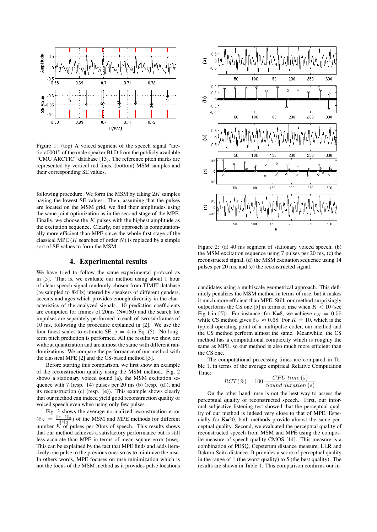

Figure 1: (top) A voiced segment of the speech signal "arctic a0001" of the male speaker BLD from the publicly available "CMU ARCTIC" database [13]. The reference pitch marks are represented by vertical red lines, (bottom) MSM samples and their corresponding SE values.

following procedure. We form the MSM by taking  $2K$  samples having the lowest SE values. Then, assuming that the pulses are located on the MSM grid, we find their amplitudes using the same joint optimization as in the second stage of the MPE. Finally, we choose the  $K$  pulses with the highest amplitude as the excitation sequence. Clearly, our approach is computationally more efficient than MPE since the whole first stage of the classical MPE ( $K$  searches of order  $N$ ) is replaced by a simple sort of SE values to form the MSM.

#### 4. Experimental results

We have tried to follow the same experimental protocol as in [5]. That is, we evaluate our method using about 1 hour of clean speech signal randomly chosen from TIMIT database (re-sampled to 8kHz) uttered by speakers of different genders, accents and ages which provides enough diversity in the characteristics of the analyzed signals. 10 prediction coefficients are computed for frames of 20ms (N=160) and the search for impulses are separately performed in each of two subframes of 10 ms, following the procedure explained in [2]. We use the four finest scales to estimate SE,  $j = 4$  in Eq. (5). No longterm pitch prediction is performed. All the results we show are without quantization and are almost the same with different randomizations. We compare the performance of our method with the classical MPE [2] and the CS-based method [5].

Before starting this comparison, we first show an example of the reconstruction quality using the MSM method. Fig. 2 shows a stationary voiced sound (a), the MSM excitation sequence with 7 (resp. 14) pulses per 20 ms (b) (resp. (d)), and its reconstruction (c) (resp. (e)). This example shows clearly that our method can indeed yield good reconstruction quality of voiced speech even when using only few pulses.

Fig. 3 shows the average normalized reconstruction error  $(\bar{e}_N = \frac{\|s - \hat{s}\|_2}{\|s\|_2})$  of the MSM and MPE methods for different number  $K$  of pulses per 20ms of speech. This results shows that our method achieves a satisfactory performance but is still less accurate than MPE in terms of mean square error (mse). This can be explained by the fact that MPE finds and adds iteratively one pulse to the previous ones so as to minimize the mse. In others words, MPE focuses on mse minimization which is not the focus of the MSM method as it provides pulse locations



Figure 2: (a) 40 ms segment of stationary voiced speech, (b) the MSM excitation sequence using 7 pulses per 20 ms, (c) the reconstructed signal, (d) the MSM excitation sequence using 14 pulses per 20 ms, and (e) the reconstructed signal.

candidates using a multiscale geometrical approach. This definitely penalizes the MSM method in terms of mse, but it makes it much more efficient than MPE. Still, our method surprisingly outperforms the CS one [5] in terms of mse when  $K < 10$  (see Fig.1 in [5]). For instance, for K=8, we achieve  $\bar{e}_N = 0.55$ while CS method gives  $\bar{e}_N \approx 0.68$ . For  $K = 10$ , which is the typical operating point of a multipulse coder, our method and the CS method perform almost the same. Meanwhile, the CS method has a computational complexity which is roughly the same as MPE, so our method is also much more efficient than the CS one.

The computational processing times are compared in Table 1, in terms of the average empirical Relative Computation Time:

$$
RCT(\%) = 100. \frac{CPU \ time \ (s)}{Sound \ duration \ (s)}
$$

On the other hand, mse is not the best way to assess the perceptual quality of reconstructed speech. First, our informal subjective listening test showed that the perceptual quality of our method is indeed very close to that of MPE. Especially for K=20, both methods provide almost the same perceptual quality. Second, we evaluated the perceptual quality of reconstructed speech from MSM and MPE using the composite measure of speech quality CMOS [14]. This measure is a combination of PESQ, Cepsterum distance measure, LLR and Itakura-Saito distance. It provides a score of perceptual quality in the range of 1 (the worst quality) to 5 (the best quality). The results are shown in Table 1. This comparison confirms our in-